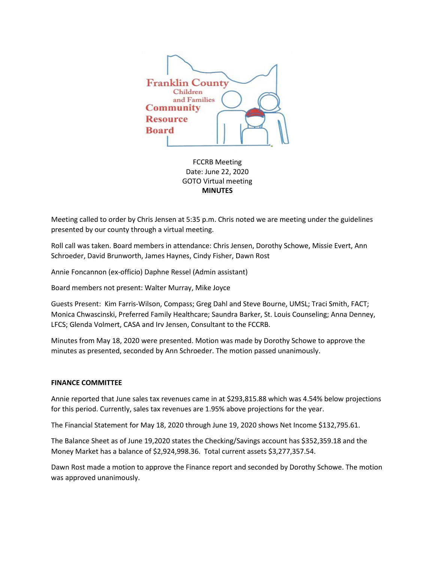

FCCRB Meeting Date: June 22, 2020 GOTO Virtual meeting **MINUTES**

Meeting called to order by Chris Jensen at 5:35 p.m. Chris noted we are meeting under the guidelines presented by our county through a virtual meeting.

Roll call was taken. Board members in attendance: Chris Jensen, Dorothy Schowe, Missie Evert, Ann Schroeder, David Brunworth, James Haynes, Cindy Fisher, Dawn Rost

Annie Foncannon (ex-officio) Daphne Ressel (Admin assistant)

Board members not present: Walter Murray, Mike Joyce

Guests Present: Kim Farris-Wilson, Compass; Greg Dahl and Steve Bourne, UMSL; Traci Smith, FACT; Monica Chwascinski, Preferred Family Healthcare; Saundra Barker, St. Louis Counseling; Anna Denney, LFCS; Glenda Volmert, CASA and Irv Jensen, Consultant to the FCCRB.

Minutes from May 18, 2020 were presented. Motion was made by Dorothy Schowe to approve the minutes as presented, seconded by Ann Schroeder. The motion passed unanimously.

### **FINANCE COMMITTEE**

Annie reported that June sales tax revenues came in at \$293,815.88 which was 4.54% below projections for this period. Currently, sales tax revenues are 1.95% above projections for the year.

The Financial Statement for May 18, 2020 through June 19, 2020 shows Net Income \$132,795.61.

The Balance Sheet as of June 19,2020 states the Checking/Savings account has \$352,359.18 and the Money Market has a balance of \$2,924,998.36. Total current assets \$3,277,357.54.

Dawn Rost made a motion to approve the Finance report and seconded by Dorothy Schowe. The motion was approved unanimously.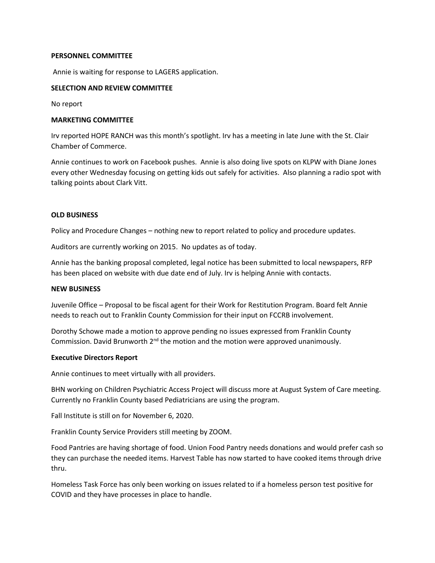## **PERSONNEL COMMITTEE**

Annie is waiting for response to LAGERS application.

# **SELECTION AND REVIEW COMMITTEE**

No report

## **MARKETING COMMITTEE**

Irv reported HOPE RANCH was this month's spotlight. Irv has a meeting in late June with the St. Clair Chamber of Commerce.

Annie continues to work on Facebook pushes. Annie is also doing live spots on KLPW with Diane Jones every other Wednesday focusing on getting kids out safely for activities. Also planning a radio spot with talking points about Clark Vitt.

# **OLD BUSINESS**

Policy and Procedure Changes – nothing new to report related to policy and procedure updates.

Auditors are currently working on 2015. No updates as of today.

Annie has the banking proposal completed, legal notice has been submitted to local newspapers, RFP has been placed on website with due date end of July. Irv is helping Annie with contacts.

### **NEW BUSINESS**

Juvenile Office – Proposal to be fiscal agent for their Work for Restitution Program. Board felt Annie needs to reach out to Franklin County Commission for their input on FCCRB involvement.

Dorothy Schowe made a motion to approve pending no issues expressed from Franklin County Commission. David Brunworth  $2^{nd}$  the motion and the motion were approved unanimously.

### **Executive Directors Report**

Annie continues to meet virtually with all providers.

BHN working on Children Psychiatric Access Project will discuss more at August System of Care meeting. Currently no Franklin County based Pediatricians are using the program.

Fall Institute is still on for November 6, 2020.

Franklin County Service Providers still meeting by ZOOM.

Food Pantries are having shortage of food. Union Food Pantry needs donations and would prefer cash so they can purchase the needed items. Harvest Table has now started to have cooked items through drive thru.

Homeless Task Force has only been working on issues related to if a homeless person test positive for COVID and they have processes in place to handle.